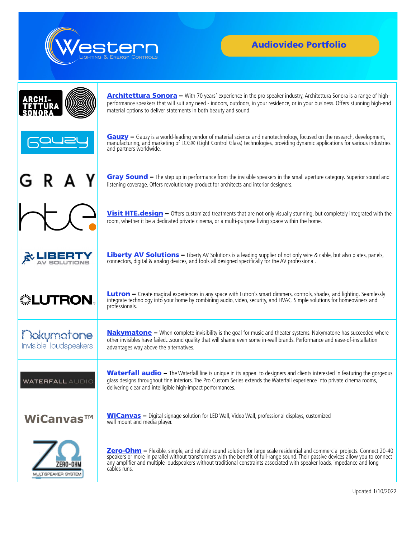

## Audiovideo Portfolio

|                                      | <b>Architettura Sonora</b> – With 70 years' experience in the pro speaker industry, Architettura Sonora is a range of high-<br>performance speakers that will suit any need - indoors, outdoors, in your residence, or in your business. Offers stunning high-end<br>material options to deliver statements in both beauty and sound. |
|--------------------------------------|---------------------------------------------------------------------------------------------------------------------------------------------------------------------------------------------------------------------------------------------------------------------------------------------------------------------------------------|
|                                      | Gauzy - Gauzy is a world-leading vendor of material science and nanotechnology, focused on the research, development,<br>manufacturing, and marketing of LCG® (Light Control Glass) technologies, providing dynamic applications for various industries<br>and partners worldwide.                                                    |
|                                      | Gray Sound – The step up in performance from the invisible speakers in the small aperture category. Superior sound and<br>listening coverage. Offers revolutionary product for architects and interior designers.                                                                                                                     |
|                                      | Visit HTE. design - Offers customized treatments that are not only visually stunning, but completely integrated with the<br>room, whether it be a dedicated private cinema, or a multi-purpose living space within the home.                                                                                                          |
|                                      | <b>Liberty AV Solutions</b> - Liberty AV Solutions is a leading supplier of not only wire & cable, but also plates, panels,<br>connectors, digital & analog devices, and tools all designed specifically for the AV professional.                                                                                                     |
| ▒LUTRON。                             | <b>Lutron</b> - Create magical experiences in any space with Lutron's smart dimmers, controls, shades, and lighting. Seamlessly<br>integrate technology into your home by combining audio, video, security, and HVAC. Simple solutions for homeowners and<br>professionals.                                                           |
| Makumatone<br>invisible loudspeakers | <b>Nakymatone</b> - When complete invisibility is the goal for music and theater systems. Nakymatone has succeeded where<br>other invisibles have failedsound quality that will shame even some in-wall brands. Performance and ease-of-installation<br>advantages way above the alternatives.                                        |
| <b>WATERFALL AUDIO</b>               | <b>Waterfall audio</b> – The Waterfall line is unique in its appeal to designers and clients interested in featuring the gorgeous<br>glass designs throughout fine interiors. The Pro Custom Series extends the Waterfall experience into private cinema rooms,<br>delivering clear and intelligible high-impact performances.        |
| WiCanvas™                            | <b>WiCanvas</b> - Digital signage solution for LED Wall, Video Wall, professional displays, customized<br>wall mount and media player.                                                                                                                                                                                                |
| MULTISPEAKER SYSTEN                  | Zero-Ohm – Flexible, simple, and reliable sound solution for large scale residential and commercial projects. Connect 20-40 speakers or more in parallel without transformers with the benefit of full-range sound. Their pass<br>cables runs.                                                                                        |